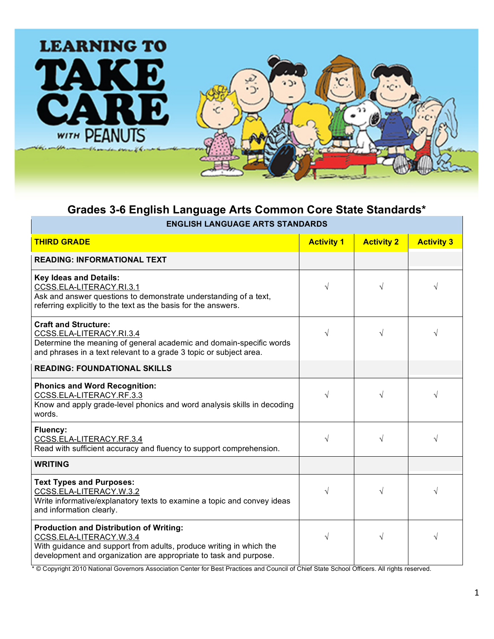

## **Grades 3-6 English Language Arts Common Core State Standards\***

|  | <b>ENGLISH LANGUAGE ARTS STANDARDS</b> |  |  |
|--|----------------------------------------|--|--|
|--|----------------------------------------|--|--|

| <b>THIRD GRADE</b>                                                                                                                                                                                                    | <b>Activity 1</b> | <b>Activity 2</b> | <b>Activity 3</b> |
|-----------------------------------------------------------------------------------------------------------------------------------------------------------------------------------------------------------------------|-------------------|-------------------|-------------------|
| <b>READING: INFORMATIONAL TEXT</b>                                                                                                                                                                                    |                   |                   |                   |
| <b>Key Ideas and Details:</b><br>CCSS.ELA-LITERACY.RI.3.1<br>Ask and answer questions to demonstrate understanding of a text,<br>referring explicitly to the text as the basis for the answers.                       | V                 | $\sqrt{}$         |                   |
| <b>Craft and Structure:</b><br>CCSS.ELA-LITERACY.RI.3.4<br>Determine the meaning of general academic and domain-specific words<br>and phrases in a text relevant to a grade 3 topic or subject area.                  | $\sqrt{}$         | √                 |                   |
| <b>READING: FOUNDATIONAL SKILLS</b>                                                                                                                                                                                   |                   |                   |                   |
| <b>Phonics and Word Recognition:</b><br>CCSS.ELA-LITERACY.RF.3.3<br>Know and apply grade-level phonics and word analysis skills in decoding<br>words.                                                                 | V                 | √                 |                   |
| Fluency:<br>CCSS.ELA-LITERACY.RF.3.4<br>Read with sufficient accuracy and fluency to support comprehension.                                                                                                           | V                 | √                 |                   |
| <b>WRITING</b>                                                                                                                                                                                                        |                   |                   |                   |
| <b>Text Types and Purposes:</b><br>CCSS.ELA-LITERACY.W.3.2<br>Write informative/explanatory texts to examine a topic and convey ideas<br>and information clearly.                                                     | V                 | $\sqrt{ }$        |                   |
| <b>Production and Distribution of Writing:</b><br>CCSS.ELA-LITERACY.W.3.4<br>With guidance and support from adults, produce writing in which the<br>development and organization are appropriate to task and purpose. | V                 | $\sqrt{}$         |                   |

\* © Copyright 2010 National Governors Association Center for Best Practices and Council of Chief State School Officers. All rights reserved.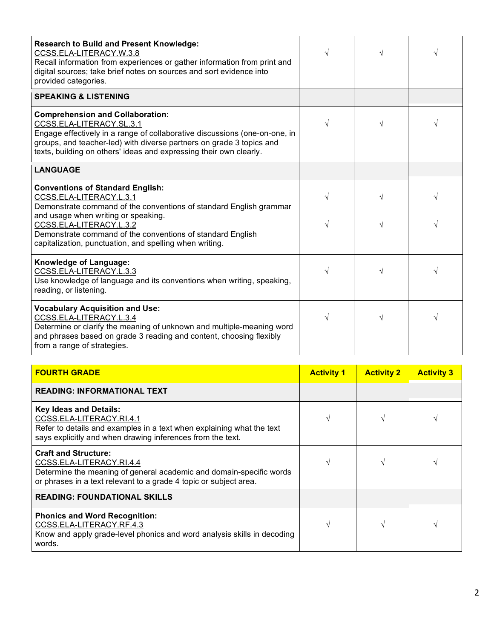| and phrases based on grade 3 reading and content, choosing flexibly<br>from a range of strategies.                                                                                                                                                                                                                                  |            |            |   |
|-------------------------------------------------------------------------------------------------------------------------------------------------------------------------------------------------------------------------------------------------------------------------------------------------------------------------------------|------------|------------|---|
| <b>Vocabulary Acquisition and Use:</b><br>CCSS.ELA-LITERACY.L.3.4<br>Determine or clarify the meaning of unknown and multiple-meaning word                                                                                                                                                                                          | $\sqrt{}$  | $\sqrt{ }$ | √ |
| Knowledge of Language:<br>CCSS.ELA-LITERACY.L.3.3<br>Use knowledge of language and its conventions when writing, speaking,<br>reading, or listening.                                                                                                                                                                                | √          | V          | V |
| <b>Conventions of Standard English:</b><br>CCSS.ELA-LITERACY.L.3.1<br>Demonstrate command of the conventions of standard English grammar<br>and usage when writing or speaking.<br>CCSS.ELA-LITERACY.L.3.2<br>Demonstrate command of the conventions of standard English<br>capitalization, punctuation, and spelling when writing. | V<br>V     | $\sqrt{ }$ | V |
| <b>LANGUAGE</b>                                                                                                                                                                                                                                                                                                                     |            |            |   |
| <b>Comprehension and Collaboration:</b><br>CCSS.ELA-LITERACY.SL.3.1<br>Engage effectively in a range of collaborative discussions (one-on-one, in<br>groups, and teacher-led) with diverse partners on grade 3 topics and<br>texts, building on others' ideas and expressing their own clearly.                                     | $\sqrt{ }$ | $\sqrt{ }$ | V |
| <b>SPEAKING &amp; LISTENING</b>                                                                                                                                                                                                                                                                                                     |            |            |   |
| <b>Research to Build and Present Knowledge:</b><br>CCSS.ELA-LITERACY.W.3.8<br>Recall information from experiences or gather information from print and<br>digital sources; take brief notes on sources and sort evidence into<br>provided categories.                                                                               | $\sqrt{}$  | $\sqrt{}$  |   |
|                                                                                                                                                                                                                                                                                                                                     |            |            |   |

| READING: INFORMATIONAL TEXT                                                                                                                                                                         |  |  |
|-----------------------------------------------------------------------------------------------------------------------------------------------------------------------------------------------------|--|--|
| <b>Key Ideas and Details:</b><br>CCSS.ELA-LITERACY.RI.4.1<br>Refer to details and examples in a text when explaining what the text<br>says explicitly and when drawing inferences from the text.    |  |  |
| <b>Craft and Structure:</b><br>CCSS.ELA-LITERACY.RI.4.4<br>Determine the meaning of general academic and domain-specific words<br>or phrases in a text relevant to a grade 4 topic or subject area. |  |  |
| <b>READING: FOUNDATIONAL SKILLS</b>                                                                                                                                                                 |  |  |
| <b>Phonics and Word Recognition:</b><br>CCSS.ELA-LITERACY.RF.4.3<br>Know and apply grade-level phonics and word analysis skills in decoding<br>words.                                               |  |  |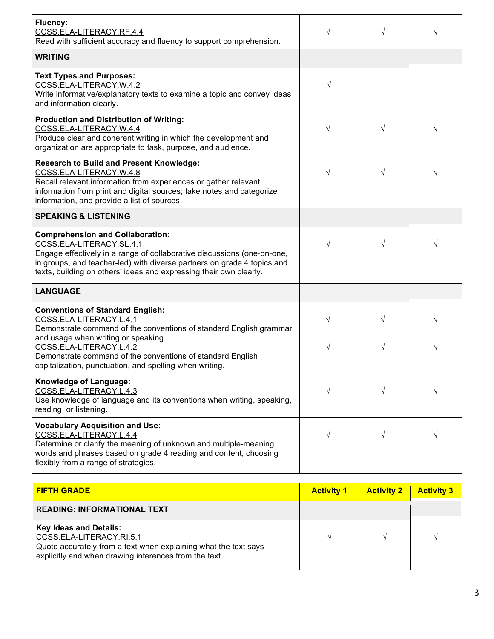| <b>Fluency:</b><br>CCSS.ELA-LITERACY.RF.4.4<br>Read with sufficient accuracy and fluency to support comprehension.                                                                                                                                                                              | √                 | V                 |                   |
|-------------------------------------------------------------------------------------------------------------------------------------------------------------------------------------------------------------------------------------------------------------------------------------------------|-------------------|-------------------|-------------------|
| <b>WRITING</b>                                                                                                                                                                                                                                                                                  |                   |                   |                   |
| <b>Text Types and Purposes:</b><br>CCSS.ELA-LITERACY.W.4.2<br>Write informative/explanatory texts to examine a topic and convey ideas<br>and information clearly.                                                                                                                               | √                 |                   |                   |
| <b>Production and Distribution of Writing:</b><br>CCSS.ELA-LITERACY.W.4.4<br>Produce clear and coherent writing in which the development and<br>organization are appropriate to task, purpose, and audience.                                                                                    | $\sqrt{ }$        | V                 |                   |
| <b>Research to Build and Present Knowledge:</b><br>CCSS.ELA-LITERACY.W.4.8<br>Recall relevant information from experiences or gather relevant<br>information from print and digital sources; take notes and categorize<br>information, and provide a list of sources.                           | √                 |                   |                   |
| <b>SPEAKING &amp; LISTENING</b>                                                                                                                                                                                                                                                                 |                   |                   |                   |
| <b>Comprehension and Collaboration:</b><br>CCSS.ELA-LITERACY.SL.4.1<br>Engage effectively in a range of collaborative discussions (one-on-one,<br>in groups, and teacher-led) with diverse partners on grade 4 topics and<br>texts, building on others' ideas and expressing their own clearly. | √                 |                   |                   |
| <b>LANGUAGE</b>                                                                                                                                                                                                                                                                                 |                   |                   |                   |
| <b>Conventions of Standard English:</b><br>CCSS.ELA-LITERACY.L.4.1<br>Demonstrate command of the conventions of standard English grammar<br>and usage when writing or speaking.                                                                                                                 | $\sqrt{}$         |                   |                   |
| CCSS.ELA-LITERACY.L.4.2<br>Demonstrate command of the conventions of standard English<br>capitalization, punctuation, and spelling when writing.                                                                                                                                                | √                 |                   |                   |
| Knowledge of Language:<br>CCSS.ELA-LITERACY.L.4.3<br>Use knowledge of language and its conventions when writing, speaking,<br>reading, or listening.                                                                                                                                            | √                 | V                 | V                 |
| <b>Vocabulary Acquisition and Use:</b><br>CCSS.ELA-LITERACY.L.4.4<br>Determine or clarify the meaning of unknown and multiple-meaning<br>words and phrases based on grade 4 reading and content, choosing<br>flexibly from a range of strategies.                                               | $\sqrt{}$         | √                 | V                 |
| <b>FIFTH GRADE</b>                                                                                                                                                                                                                                                                              | <b>Activity 1</b> | <b>Activity 2</b> | <b>Activity 3</b> |
| <b>READING: INFORMATIONAL TEXT</b>                                                                                                                                                                                                                                                              |                   |                   |                   |
| Key Ideas and Details:                                                                                                                                                                                                                                                                          |                   |                   |                   |

| <b>Key Ideas and Details:</b>                                   |  |  |
|-----------------------------------------------------------------|--|--|
| CCSS.ELA-LITERACY.RI.5.1                                        |  |  |
| Quote accurately from a text when explaining what the text says |  |  |
| explicitly and when drawing inferences from the text.           |  |  |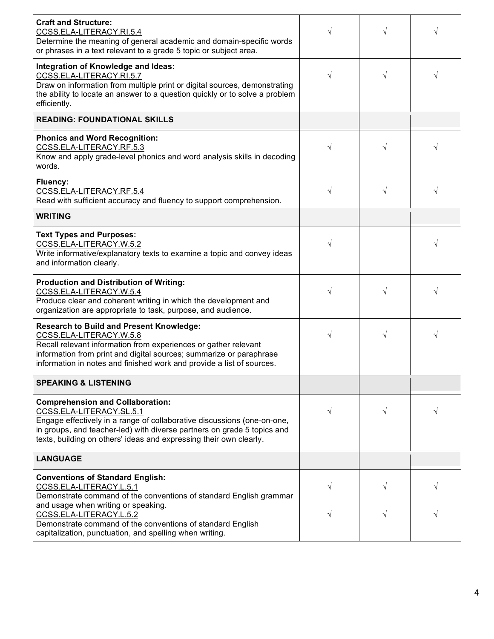| <b>Craft and Structure:</b><br>CCSS.ELA-LITERACY.RI.5.4<br>Determine the meaning of general academic and domain-specific words<br>or phrases in a text relevant to a grade 5 topic or subject area.                                                                                             |            |           |   |
|-------------------------------------------------------------------------------------------------------------------------------------------------------------------------------------------------------------------------------------------------------------------------------------------------|------------|-----------|---|
| Integration of Knowledge and Ideas:<br>CCSS.ELA-LITERACY.RI.5.7<br>Draw on information from multiple print or digital sources, demonstrating<br>the ability to locate an answer to a question quickly or to solve a problem<br>efficiently.                                                     |            |           |   |
| <b>READING: FOUNDATIONAL SKILLS</b>                                                                                                                                                                                                                                                             |            |           |   |
| <b>Phonics and Word Recognition:</b><br>CCSS.ELA-LITERACY.RF.5.3<br>Know and apply grade-level phonics and word analysis skills in decoding<br>words.                                                                                                                                           |            |           |   |
| Fluency:<br>CCSS.ELA-LITERACY.RF.5.4<br>Read with sufficient accuracy and fluency to support comprehension.                                                                                                                                                                                     |            |           |   |
| <b>WRITING</b>                                                                                                                                                                                                                                                                                  |            |           |   |
| <b>Text Types and Purposes:</b><br>CCSS.ELA-LITERACY.W.5.2<br>Write informative/explanatory texts to examine a topic and convey ideas<br>and information clearly.                                                                                                                               |            |           |   |
| <b>Production and Distribution of Writing:</b><br>CCSS.ELA-LITERACY.W.5.4<br>Produce clear and coherent writing in which the development and<br>organization are appropriate to task, purpose, and audience.                                                                                    |            |           |   |
| <b>Research to Build and Present Knowledge:</b><br>CCSS.ELA-LITERACY.W.5.8<br>Recall relevant information from experiences or gather relevant<br>information from print and digital sources; summarize or paraphrase<br>information in notes and finished work and provide a list of sources.   |            | $\sqrt{}$ | V |
| <b>SPEAKING &amp; LISTENING</b>                                                                                                                                                                                                                                                                 |            |           |   |
| <b>Comprehension and Collaboration:</b><br>CCSS.ELA-LITERACY.SL.5.1<br>Engage effectively in a range of collaborative discussions (one-on-one,<br>in groups, and teacher-led) with diverse partners on grade 5 topics and<br>texts, building on others' ideas and expressing their own clearly. | $\sqrt{ }$ |           |   |
| <b>LANGUAGE</b>                                                                                                                                                                                                                                                                                 |            |           |   |
| <b>Conventions of Standard English:</b><br>CCSS.ELA-LITERACY.L.5.1<br>Demonstrate command of the conventions of standard English grammar<br>and usage when writing or speaking.<br>CCSS.ELA-LITERACY.L.5.2<br>Demonstrate command of the conventions of standard English                        |            |           |   |
| capitalization, punctuation, and spelling when writing.                                                                                                                                                                                                                                         |            |           |   |